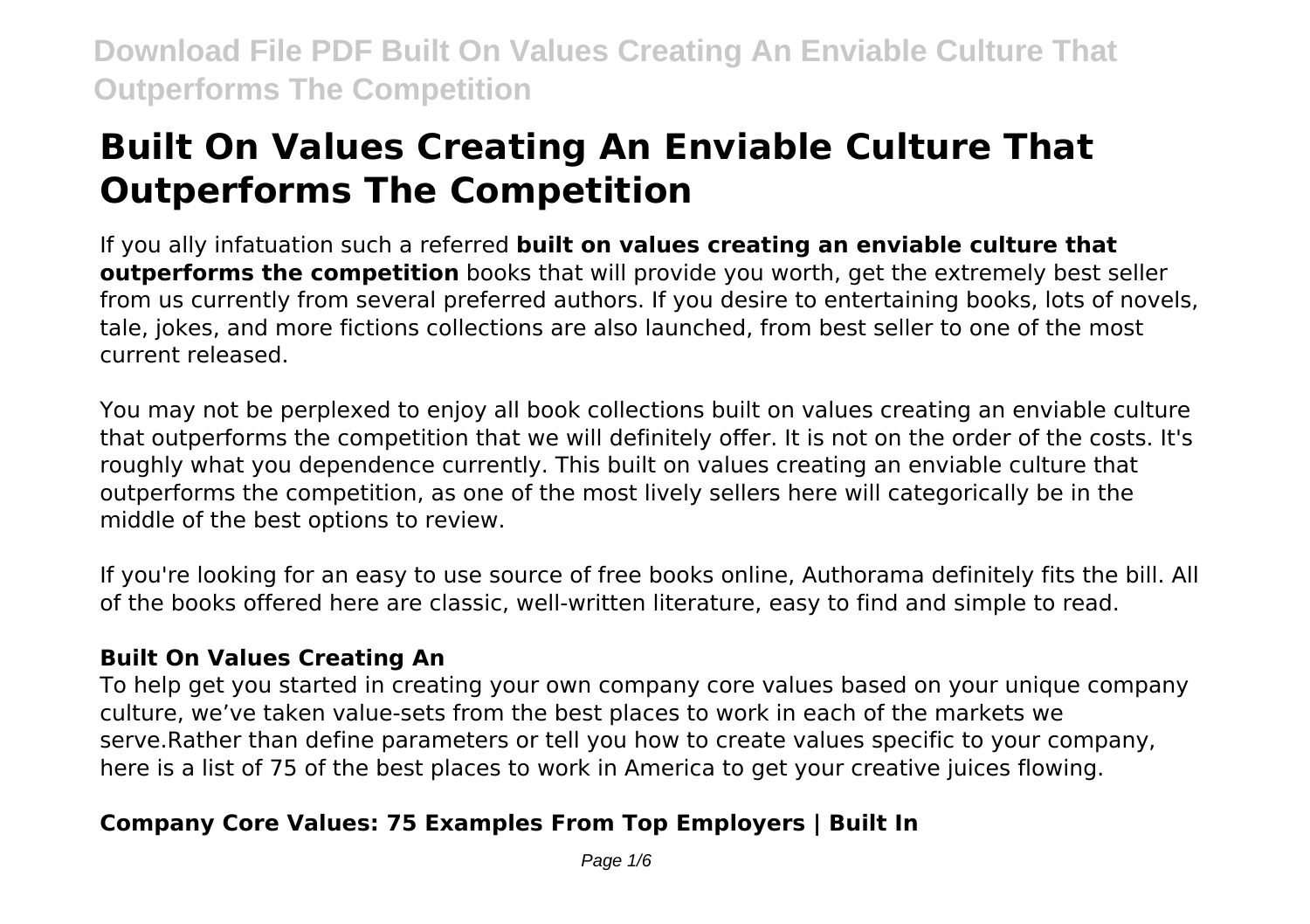# **Built On Values Creating An Enviable Culture That Outperforms The Competition**

If you ally infatuation such a referred **built on values creating an enviable culture that outperforms the competition** books that will provide you worth, get the extremely best seller from us currently from several preferred authors. If you desire to entertaining books, lots of novels, tale, jokes, and more fictions collections are also launched, from best seller to one of the most current released.

You may not be perplexed to enjoy all book collections built on values creating an enviable culture that outperforms the competition that we will definitely offer. It is not on the order of the costs. It's roughly what you dependence currently. This built on values creating an enviable culture that outperforms the competition, as one of the most lively sellers here will categorically be in the middle of the best options to review.

If you're looking for an easy to use source of free books online, Authorama definitely fits the bill. All of the books offered here are classic, well-written literature, easy to find and simple to read.

### **Built On Values Creating An**

To help get you started in creating your own company core values based on your unique company culture, we've taken value-sets from the best places to work in each of the markets we serve.Rather than define parameters or tell you how to create values specific to your company, here is a list of 75 of the best places to work in America to get your creative juices flowing.

## **Company Core Values: 75 Examples From Top Employers | Built In**

Page 1/6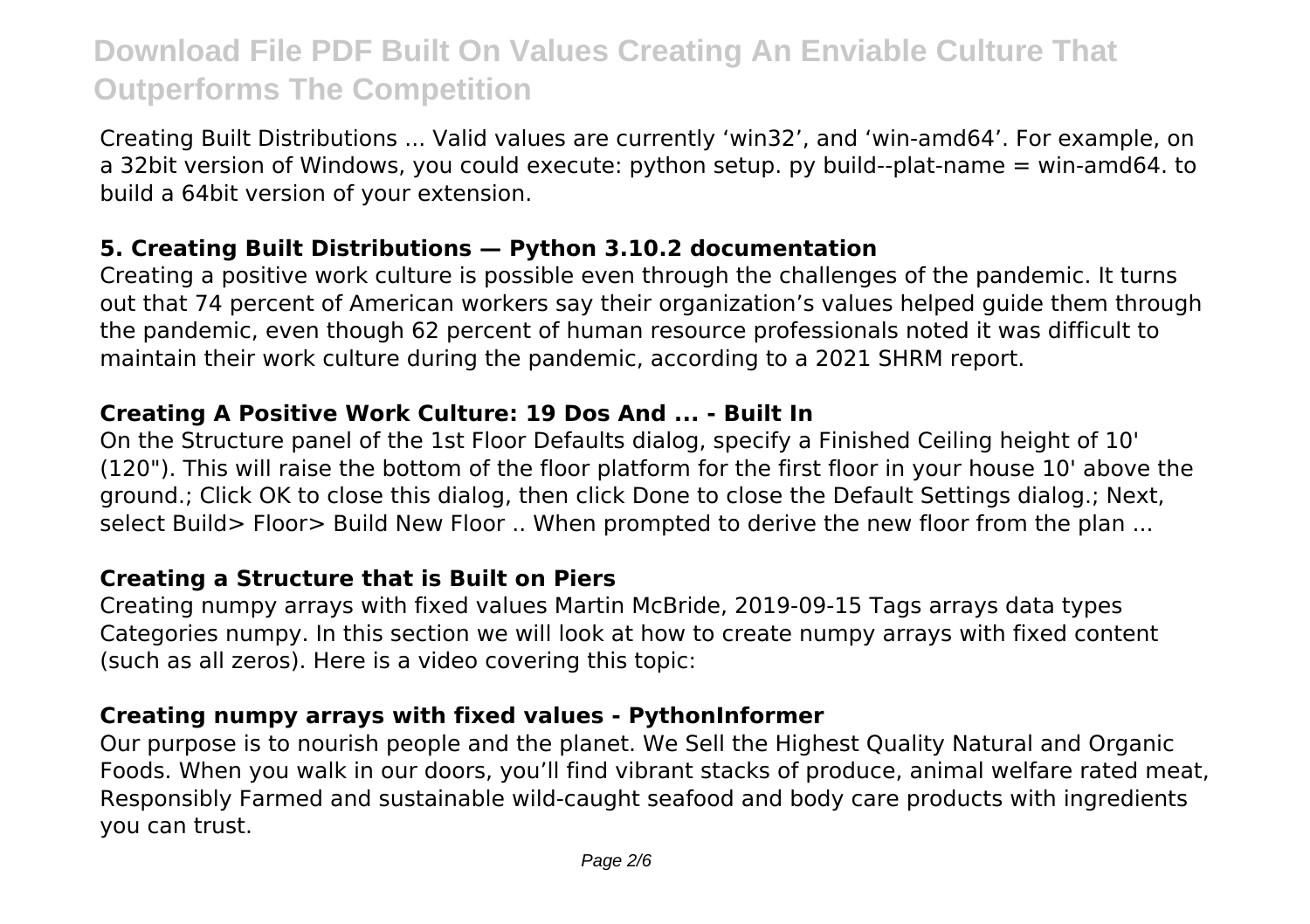Creating Built Distributions ... Valid values are currently 'win32', and 'win-amd64'. For example, on a 32bit version of Windows, you could execute: python setup. py build--plat-name = win-amd64. to build a 64bit version of your extension.

### **5. Creating Built Distributions — Python 3.10.2 documentation**

Creating a positive work culture is possible even through the challenges of the pandemic. It turns out that 74 percent of American workers say their organization's values helped guide them through the pandemic, even though 62 percent of human resource professionals noted it was difficult to maintain their work culture during the pandemic, according to a 2021 SHRM report.

### **Creating A Positive Work Culture: 19 Dos And ... - Built In**

On the Structure panel of the 1st Floor Defaults dialog, specify a Finished Ceiling height of 10' (120"). This will raise the bottom of the floor platform for the first floor in your house 10' above the ground.; Click OK to close this dialog, then click Done to close the Default Settings dialog.; Next, select Build> Floor> Build New Floor .. When prompted to derive the new floor from the plan ...

### **Creating a Structure that is Built on Piers**

Creating numpy arrays with fixed values Martin McBride, 2019-09-15 Tags arrays data types Categories numpy. In this section we will look at how to create numpy arrays with fixed content (such as all zeros). Here is a video covering this topic:

### **Creating numpy arrays with fixed values - PythonInformer**

Our purpose is to nourish people and the planet. We Sell the Highest Quality Natural and Organic Foods. When you walk in our doors, you'll find vibrant stacks of produce, animal welfare rated meat, Responsibly Farmed and sustainable wild-caught seafood and body care products with ingredients you can trust.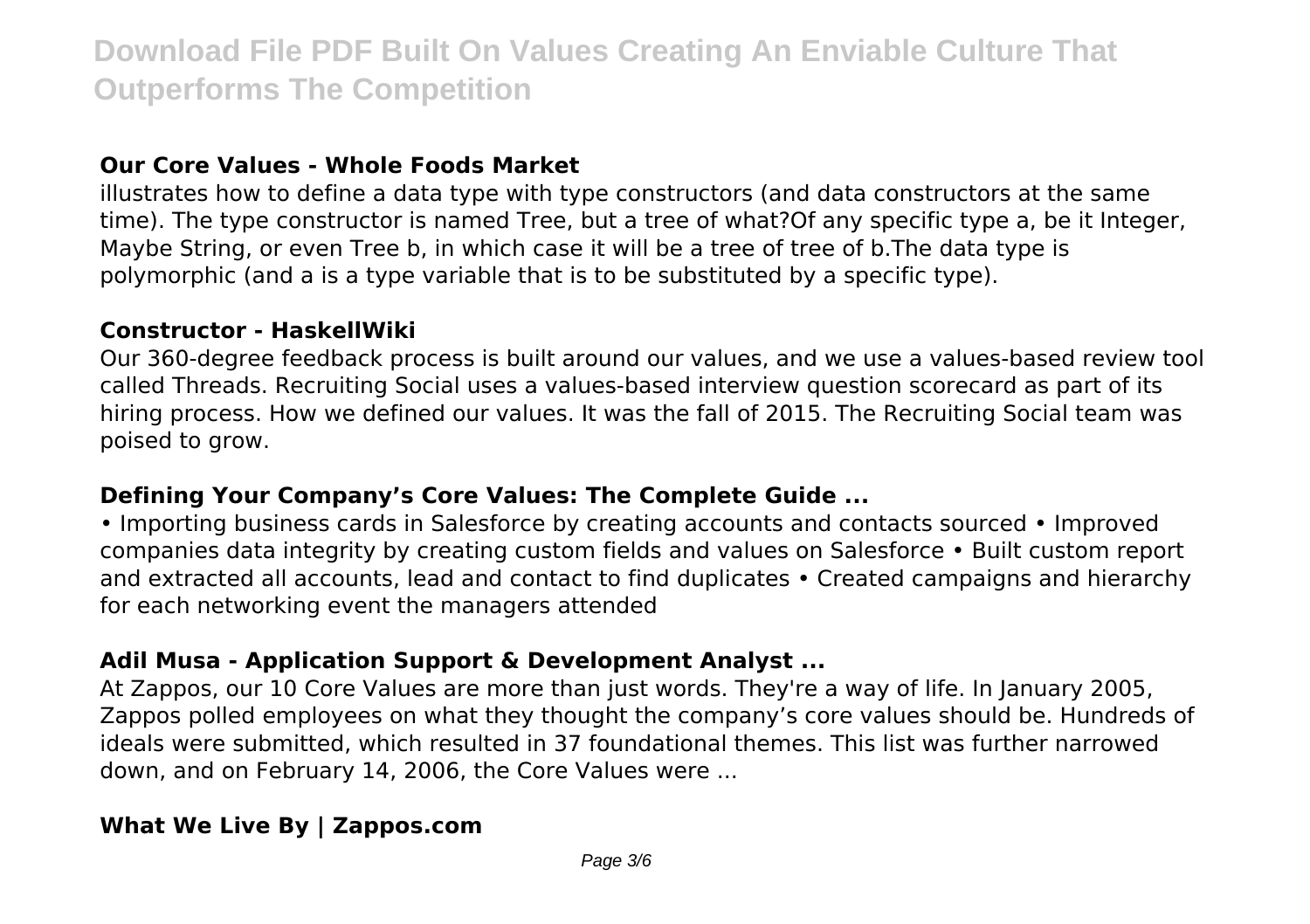### **Our Core Values - Whole Foods Market**

illustrates how to define a data type with type constructors (and data constructors at the same time). The type constructor is named Tree, but a tree of what?Of any specific type a, be it Integer, Maybe String, or even Tree b, in which case it will be a tree of tree of b.The data type is polymorphic (and a is a type variable that is to be substituted by a specific type).

### **Constructor - HaskellWiki**

Our 360-degree feedback process is built around our values, and we use a values-based review tool called Threads. Recruiting Social uses a values-based interview question scorecard as part of its hiring process. How we defined our values. It was the fall of 2015. The Recruiting Social team was poised to grow.

### **Defining Your Company's Core Values: The Complete Guide ...**

• Importing business cards in Salesforce by creating accounts and contacts sourced • Improved companies data integrity by creating custom fields and values on Salesforce • Built custom report and extracted all accounts, lead and contact to find duplicates • Created campaigns and hierarchy for each networking event the managers attended

### **Adil Musa - Application Support & Development Analyst ...**

At Zappos, our 10 Core Values are more than just words. They're a way of life. In January 2005, Zappos polled employees on what they thought the company's core values should be. Hundreds of ideals were submitted, which resulted in 37 foundational themes. This list was further narrowed down, and on February 14, 2006, the Core Values were ...

## **What We Live By | Zappos.com**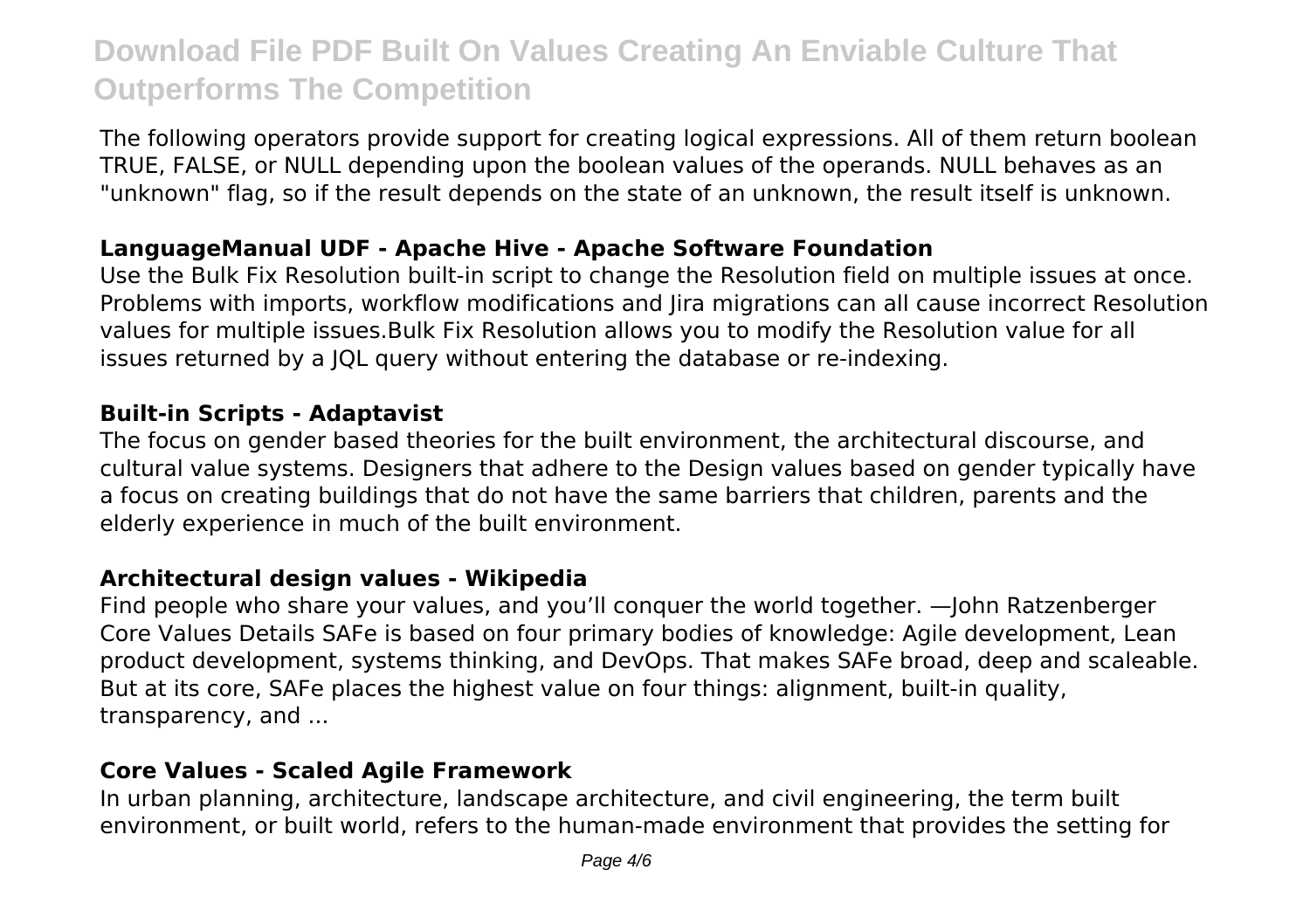The following operators provide support for creating logical expressions. All of them return boolean TRUE, FALSE, or NULL depending upon the boolean values of the operands. NULL behaves as an "unknown" flag, so if the result depends on the state of an unknown, the result itself is unknown.

### **LanguageManual UDF - Apache Hive - Apache Software Foundation**

Use the Bulk Fix Resolution built-in script to change the Resolution field on multiple issues at once. Problems with imports, workflow modifications and Jira migrations can all cause incorrect Resolution values for multiple issues.Bulk Fix Resolution allows you to modify the Resolution value for all issues returned by a JQL query without entering the database or re-indexing.

#### **Built-in Scripts - Adaptavist**

The focus on gender based theories for the built environment, the architectural discourse, and cultural value systems. Designers that adhere to the Design values based on gender typically have a focus on creating buildings that do not have the same barriers that children, parents and the elderly experience in much of the built environment.

### **Architectural design values - Wikipedia**

Find people who share your values, and you'll conquer the world together. —John Ratzenberger Core Values Details SAFe is based on four primary bodies of knowledge: Agile development, Lean product development, systems thinking, and DevOps. That makes SAFe broad, deep and scaleable. But at its core, SAFe places the highest value on four things: alignment, built-in quality, transparency, and ...

### **Core Values - Scaled Agile Framework**

In urban planning, architecture, landscape architecture, and civil engineering, the term built environment, or built world, refers to the human-made environment that provides the setting for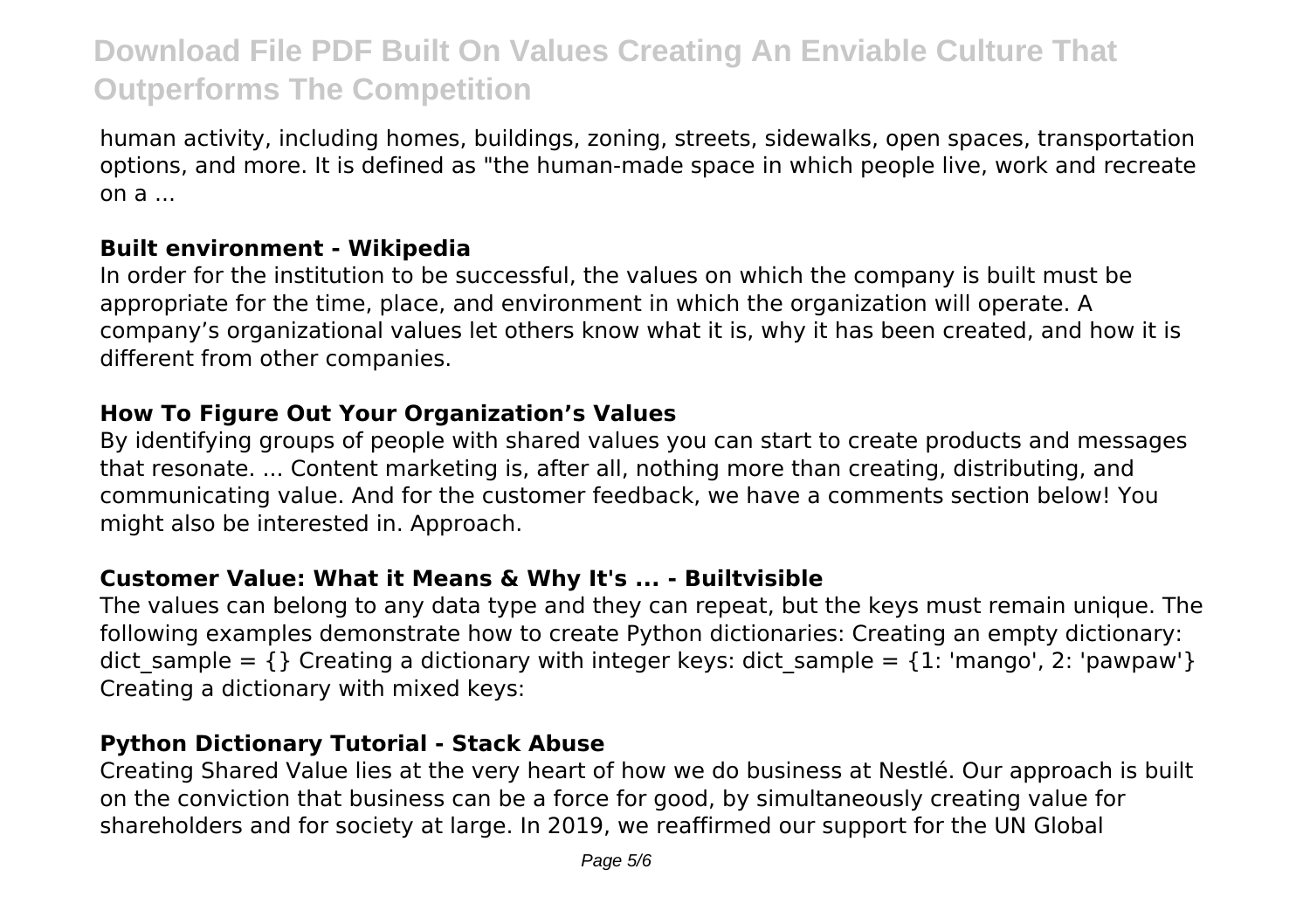human activity, including homes, buildings, zoning, streets, sidewalks, open spaces, transportation options, and more. It is defined as "the human-made space in which people live, work and recreate on  $a_{\mu\nu}$ 

### **Built environment - Wikipedia**

In order for the institution to be successful, the values on which the company is built must be appropriate for the time, place, and environment in which the organization will operate. A company's organizational values let others know what it is, why it has been created, and how it is different from other companies.

#### **How To Figure Out Your Organization's Values**

By identifying groups of people with shared values you can start to create products and messages that resonate. ... Content marketing is, after all, nothing more than creating, distributing, and communicating value. And for the customer feedback, we have a comments section below! You might also be interested in. Approach.

### **Customer Value: What it Means & Why It's ... - Builtvisible**

The values can belong to any data type and they can repeat, but the keys must remain unique. The following examples demonstrate how to create Python dictionaries: Creating an empty dictionary: dict sample =  $\{$  } Creating a dictionary with integer keys: dict sample =  $\{1: \text{ 'manqo'}, 2: \text{ 'bawpaw'}\}$ Creating a dictionary with mixed keys:

### **Python Dictionary Tutorial - Stack Abuse**

Creating Shared Value lies at the very heart of how we do business at Nestlé. Our approach is built on the conviction that business can be a force for good, by simultaneously creating value for shareholders and for society at large. In 2019, we reaffirmed our support for the UN Global